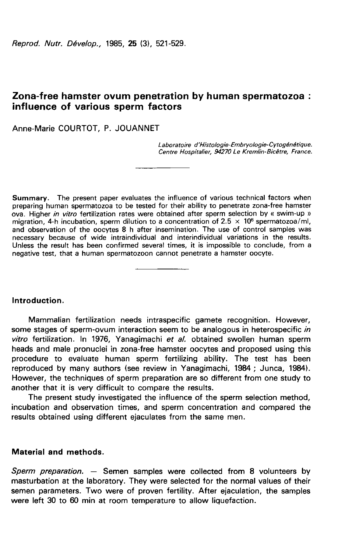Reprod. Nutr. Dévelop., 1985, 25 (3), 521-529.

# Zona-free hamster ovum penetration by human spermatozoa : influence of various sperm factors

Anne-Marie COURTOT, P. JOUANNET

Laboratoire d'Histologie-Embryologie-Cytogénétique. Centre Hospitalier, 94270 Le Kremlin-Bicêtre, France.

Summary. The present paper evaluates the influence of various technical factors when preparing human spermatozoa to be tested for their ability to penetrate zona-free hamster ova. Higher in vitro fertilization rates were obtained after sperm selection by « swim-up » migration, 4-h incubation, sperm dilution to a concentration of 2.5  $\times$  10<sup>6</sup> spermatozoa/ml, and observation of the oocytes 8 h after insemination. The use of control samples was necessary because of wide intraindividual and interindividual variations in the results. Unless the result has been confirmed several times, it is impossible to conclude, from a negative test, that a human spermatozoon cannot penetrate a hamster oocyte.

## Introduction.

Mammalian fertilization needs intraspecific gamete recognition. However, some stages of sperm-ovum interaction seem to be analogous in heterospecific in vitro fertilization. In 1976, Yanagimachi et al. obtained swollen human sperm heads and male pronuclei in zona-free hamster oocytes and proposed using this procedure to evaluate human sperm fertilizing ability. The test has been reproduced by many authors (see review in Yanagimachi, 1984 ; Junca, 1984). However, the techniques of sperm preparation are so different from one study to another that it is very difficult to compare the results.

The present study investigated the influence of the sperm selection method, incubation and observation times, and sperm concentration and compared the results obtained using different ejaculates from the same men.

#### Material and methods.

Sperm preparation. — Semen samples were collected from 8 volunteers by masturbation at the laboratory. They were selected for the normal values of their semen parameters. Two were of proven fertility. After ejaculation, the samples were left 30 to 60 min at room temperature to allow liquefaction.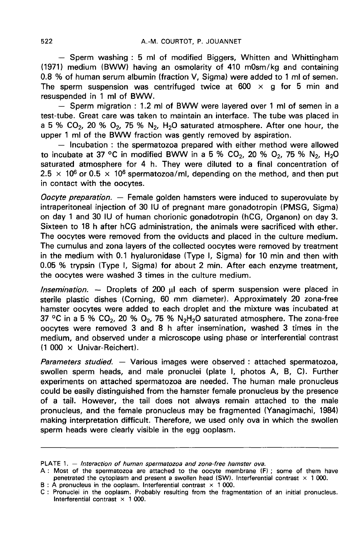- Sperm washing : 5 ml of modified Biggers, Whitten and Whittingham (1971) medium (BWW) having an osmolarity of 410 mOsm/kg and containing 0.8 % of human serum albumin (fraction V, Sigma) were added to 1 ml of semen. The sperm suspension was centrifuged twice at 600  $\times$  g for 5 min and resuspended in 1 ml of BWW.

- Sperm migration : 1.2 ml of BWW were layered over 1 ml of semen in a test-tube. Great care was taken to maintain an interface. The tube was placed in a 5 % CO<sub>2</sub>, 20 % O<sub>2</sub>, 75 % N<sub>2</sub>, H<sub>2</sub>O saturated atmosphere. After one hour, the upper 1 ml of the BWW fraction was gently removed by aspiration.

- Incubation : the spermatozoa prepared with either method were allowed to incubate at 37 °C in modified BWW in a 5 % CO<sub>2</sub>, 20 % O<sub>2</sub>, 75 % N<sub>2</sub>, H<sub>2</sub>O saturated atmosphere for 4 h. They were diluted to a final concentration of  $2.5 \times 10^6$  or 0.5  $\times$  10<sup>6</sup> spermatozoa/ml, depending on the method, and then put in contact with the oocytes.

Oocyte preparation. — Female golden hamsters were induced to superovulate by intraperitoneal injection of 30 IU of pregnant mare gonadotropin (PMSG, Sigma) on day 1 and 30 IU of human chorionic gonadotropin (hCG, Organon) on day 3. Sixteen to 18 h after hCG administration, the animals were sacrificed with ether. The oocytes were removed from the oviducts and placed in the culture medium. The cumulus and zona layers of the collected oocytes were removed by treatment in the medium with 0.1 hyaluronidase (Type I, Sigma) for 10 min and then with 0.05 % trypsin (Type I, Sigma) for about 2 min. After each enzyme treatment, the oocytes were washed 3 times in the culture medium.

*Insemination.*  $-$  Droplets of 200  $\mu$  each of sperm suspension were placed in sterile plastic dishes (Corning, 60 mm diameter). Approximately 20 zona-free hamster oocytes were added to each droplet and the mixture was incubated at 37 °C in a 5 % CO<sub>2</sub>, 20 % O<sub>2</sub>, 75 % N<sub>2</sub>H<sub>2</sub>O saturated atmosphere. The zona-free oocytes were removed 3 and 8 h after insemination, washed 3 times in the medium, and observed under a microscope using phase or interferential contrast  $(1.000 \times$  Univar-Reichert).

Parameters studied. — Various images were observed : attached spermatozoa, swollen sperm heads, and male pronuclei (plate I, photos A, B, C). Further experiments on attached spermatozoa are needed. The human male pronucleus could be easily distinguished from the hamster female pronucleus by the presence of a tail. However, the tail does not always remain attached to the male pronucleus, and the female pronucleus may be fragmented (Yanagimachi, 1984) making interpretation difficult. Therefore, we used only ova in which the swollen sperm heads were clearly visible in the egg ooplasm.

PLATE 1. - Interaction of human spermatozoa and zona-free hamster ova.

A : Most of the spermatozoa are attached to the oocyte membrane (F) ; some of them have penetrated the cytoplasm and present a swollen head (SW). Interferential contrast  $\times$  1 000.

 $B: A$  pronucleus in the ooplasm. Interferential contrast  $\times$  1 000.

C: Pronuclei in the ooplasm. Probably resulting from the fragmentation of an initial pronucleus. Interferential contrast  $\times$  1 000.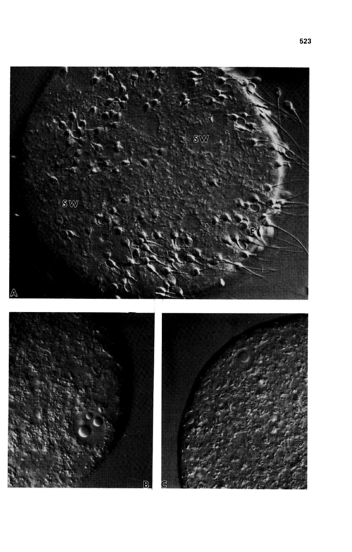



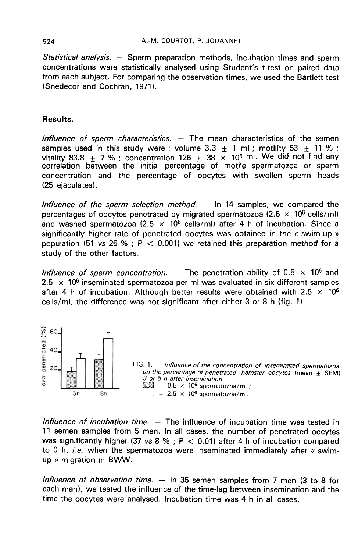Statistical analysis. — Sperm preparation methods, incubation times and sperm concentrations were statistically analysed using Student's t-test on paired data from each subject. For comparing the observation times, we used the Bartlett test (Snedecor and Cochran, 1971).

## Results.

Influence of sperm characteristics. — The mean characteristics of the semen samples used in this study were : volume 3.3  $+$  1 ml ; motility 53  $+$  11 % ; samples used in this study were : volume 3.3  $\pm$  T ml ; motility 53  $\pm$  TT % ;<br>vitality 83.8  $\pm$  7 % ; concentration 126  $\pm$  38  $\times$  10<sup>6</sup> ml. We did not find any correlation between the initial percentage of motile spermatozoa or sperm concentration and the percentage of oocytes with swollen sperm heads (25 ejaculates).

Influence of the sperm selection method.  $-$  In 14 samples, we compared the percentages of oocytes penetrated by migrated spermatozoa (2.5  $\times$  10<sup>6</sup> cells/ml) and washed spermatozoa (2.5  $\times$  10<sup>6</sup> cells/ml) after 4 h of incubation. Since a significantly higher rate of penetrated oocytes was obtained in the « swim-up » population (51 vs 26 % ;  $P < 0.001$ ) we retained this preparation method for a study of the other factors.

Influence of sperm concentration. — The penetration ability of  $0.5 \times 10^6$  and  $2.5 \times 10^6$  inseminated spermatozoa per ml was evaluated in six different samples after 4 h of incubation. Although better results were obtained with 2.5  $\times$  10<sup>6</sup> cells/ml, the difference was not significant after either 3 or 8 h (fig. 11. ).



Influence of incubation time. — The influence of incubation time was tested in 11 semen samples from 5 men. In all cases, the number of penetrated oocytes was significantly higher (37 vs 8 % ; P  $<$  0.01) after 4 h of incubation compared to 0 h, *i.e.* when the spermatozoa were inseminated immediately after « swimup » migration in BWW.

Influence of observation time.  $-$  In 35 semen samples from 7 men (3 to 8 for each man), we tested the influence of the time-lag between insemination and the time the oocytes were analysed. Incubation time was 4 h in all cases.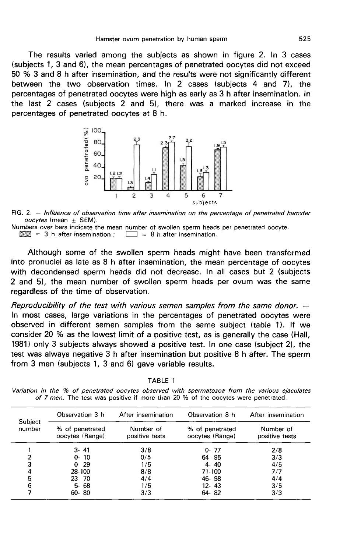The results varied among the subjects as shown in figure 2. In 3 cases (subjects 1, 3 and 6), the mean percentages of penetrated oocytes did not exceed 50 % 3 and 8 h after insemination, and the results were not significantly different between the two observation times. In 2 cases (subjects 4 and 7), the percentages of penetrated oocytes were high as early as 3 h after insemination. In the last 2 cases (subjects 2 and 5), there was a marked increase in the percentages of penetrated oocytes at 8 h.



FIG. 2. - Influence of observation time after insemination on the percentage of penetrated hamster oocytes (mean  $\pm$  SEM).

Numbers over bars indicate the mean number of swollen sperm heads per penetrated oocyte.

 $\frac{1}{2}$  = 3 h after insemination :  $\Box$  = 8 h after insemination.

Although some of the swollen sperm heads might have been transformed into pronuclei as late as 8 h after insemination, the mean percentage of oocytes with decondensed sperm heads did not decrease. In all cases but 2 (subjects 2 and 5), the mean number of swollen sperm heads per ovum was the same regardless of the time of observation.

Reproducibility of the test with various semen samples from the same donor. ― In most cases, large variations in the percentages of penetrated oocytes were observed in different semen samples from the same subject (table 1). If we consider 20 % as the lowest limit of a positive test, as is generally the case (Hall, 1981) only 3 subjects always showed a positive test. In one case (subject 2), the test was always negative 3 h after insemination but positive 8 h after. The sperm from 3 men (subjects 1, 3 and 6) gave variable results.

TABLE 1

Variation in the % of penetrated oocytes observed with spermatozoa from the various ejaculates of 7 men. The test was positive if more than 20 % of the oocytes were penetrated.

| Subject<br>number | Observation 3 h                    | After insemination          | Observation 8 h                    | After insemination          |
|-------------------|------------------------------------|-----------------------------|------------------------------------|-----------------------------|
|                   | % of penetrated<br>oocytes (Range) | Number of<br>positive tests | % of penetrated<br>oocytes (Range) | Number of<br>positive tests |
|                   | $3 - 41$                           | 3/8                         | $0 - 77$                           | 2/8                         |
|                   | $0 - 10$                           | 0/5                         | 64-95                              | 3/3                         |
| 3                 | $0 - 29$                           | 1/5                         | $4 - 40$                           | 4/5                         |
| 4                 | 28-100                             | 8/8                         | $71-100$                           | 7/7                         |
| 5                 | $23 - 70$                          | 4/4                         | 46-98                              | 4/4                         |
| 6                 | $5 - 68$                           | 1/5                         | $12 - 43$                          | 3/5                         |
|                   | 60-80                              | 3/3                         | 64-82                              | 3/3                         |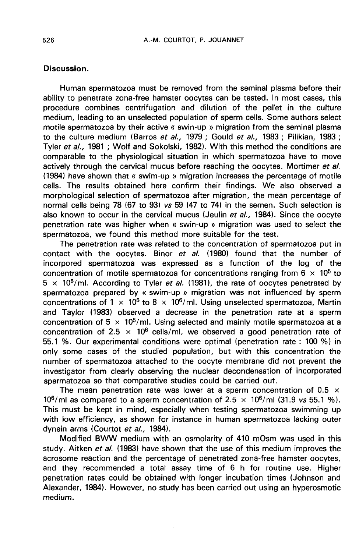#### Discussion.

Human spermatozoa must be removed from the seminal plasma before their ability to penetrate zona-free hamster oocytes can be tested. In most cases, this procedure combines centrifugation and dilution of the pellet in the culture medium, leading to an unselected population of sperm cells. Some authors select motile spermatozoa by their active « swin-up » migration from the seminal plasma to the culture medium (Barros et al., 1979 ; Gould et al., 1983 ; Pilikian, 1983 ; Tyler et al., 1981; Wolf and Sokolski, 1982). With this method the conditions are comparable to the physiological situation in which spermatozoa have to move actively through the cervical mucus before reaching the oocytes. Mortimer et al. (1984) have shown that « swim-up » migration increases the percentage of motile cells. The results obtained here confirm their findings. We also observed a morphological selection of spermatozoa after migration, the mean percentage of normal cells being 78 (67 to 93) vs 59 (47 to 74) in the semen. Such selection is also known to occur in the cervical mucus (Jeulin et al., 1984). Since the oocyte penetration rate was higher when « swin-up » migration was used to select the spermatozoa, we found this method more suitable for the test.

The penetration rate was related to the concentration of spermatozoa put in contact with the oocytes. Binor et al. (1980) found that the number of incorpored spermatozoa was expressed as a function of the log of the incorpored spermatozoa was expressed as a function of the log of the<br>concentration of motile spermatozoa for concentrations ranging from 6  $\times$  10<sup>5</sup> to Fractive with the oocytes. Binor *et al.* (1980) found that the number of incorpored spermatozoa was expressed as a function of the log of the concentration of motile spermatozoa for concentrations ranging from  $6 \times 10^5$ spermatozoa prepared by « swim-up » migration was not influenced by sperm  $5 \times 10^6$ /ml. According to Tyler *et al.* (1981), the rate of oocytes penetrated by spermatozoa prepared by « swim-up » migration was not influenced by sperm concentrations of  $1 \times 10^6$  to  $8 \times 10^6$ /ml. Using unselecte and Taylor (1983) observed a decrease in the penetration rate at a sperm concentration of 5  $\times$  10<sup>5</sup>/ml. Using selected and mainly motile spermatozoa at a concentration of 2.5  $\times$  10<sup>6</sup> cells/ml, we observed a good penetration rate of 55.1 %. Our experimental conditions were optimal (penetration rate : 100 %) in only some cases of the studied population, but with this concentration the number of spermatozoa attached to the oocyte membrane did not prevent the investigator from clearly observing the nuclear decondensation of incorporated spermatozoa so that comparative studies could be carried out.

The mean penetration rate was lower at a sperm concentration of 0.5  $\times$ 10<sup>6</sup>/ml as compared to a sperm concentration of 2.5  $\times$  10<sup>6</sup>/ml (31.9 *vs* 55.1 %). This must be kept in mind, especially when testing spermatozoa swimming up with low efficiency, as shown for instance in human spermatozoa lacking outer dynein arms (Courtot et al., 1984).

Modified BWW medium with an osmolarity of 410 mOsm was used in this study. Aitken et al. (1983) have shown that the use of this medium improves the acrosome reaction and the percentage of penetrated zona-free hamster oocytes, and they recommended a total assay time of 6 h for routine use. Higher penetration rates could be obtained with longer incubation times (Johnson and Alexander, 1984). However, no study has been carried out using an hyperosmotic medium.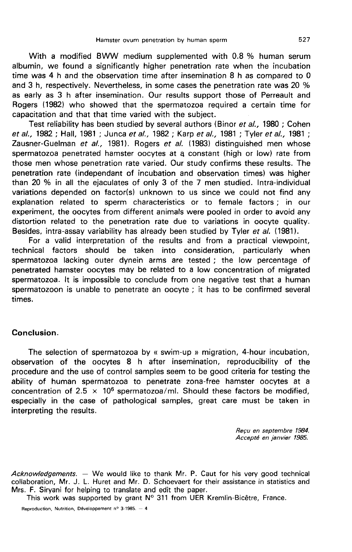With a modified BWW medium supplemented with 0.8 % human serum albumin, we found a significantly higher penetration rate when the incubation time was 4 h and the observation time after insemination 8 h as compared to 0 and 3 h, respectively. Nevertheless, in some cases the penetration rate was 20 % as early as 3 h after insemination. Our results support those of Perreault and Rogers (1982) who showed that the spermatozoa required a certain time for capacitation and that that time varied with the subject.

Test reliability has been studied by several authors (Binor et al., 1980 ; Cohen et al., 1982 ; Hall, 1981 ; Junca et al., 1982 ; Karp et al., 1981 ; Tyler et al., 1981 ; Zausner-Guelman et al., 1981). Rogers et al. (1983) distinguished men whose spermatozoa penetrated hamster oocytes at a constant (high or low) rate from those men whose penetration rate varied. Our study confirms these results. The penetration rate (independant of incubation and observation times) was higher than 20 % in all the ejaculates of only 3 of the 7 men studied. Intra-individual variations depended on factor(s) unknown to us since we could not find any explanation related to sperm characteristics or to female factors ; in our experiment, the oocytes from different animals were pooled in order to avoid any distortion related to the penetration rate due to variations in oocyte quality. Besides, intra-assay variability has already been studied by Tyler et al. (1981).

For a valid interpretation of the results and from a practical viewpoint, technical factors should be taken into consideration, particularly when spermatozoa lacking outer dynein arms are tested ; the low percentage of penetrated hamster oocytes may be related to a low concentration of migrated spermatozoa. It is impossible to conclude from one negative test that a human spermatozoon is unable to penetrate an oocyte ; it has to be confirmed several times.

## Conclusion.

The selection of spermatozoa by « swim-up » migration, 4-hour incubation, observation of the oocytes 8 h after insemination, reproducibility of the procedure and the use of control samples seem to be good criteria for testing the ability of human spermatozoa to penetrate zona-free hamster oocytes at a concentration of  $2.5 \times 10^6$  spermatozoa/ml. Should these factors be modified, especially in the case of pathological samples, great care must be taken in interpreting the results.

> Reçu en septembre 1984. Accept6 en janvier 1985.

Acknowledgements. — We would like to thank Mr. P. Caut for his very good technical collaboration, Mr. J. L. Huret and Mr. D. Schoevaert for their assistance in statistics and Mrs. F. Siryani for helping to translate and edit the paper.

This work was supported by grant N° 311 from UER Kremlin-Bicêtre, France.

Reproduction, Nutrition, Développement nº 3-1985.  $-4$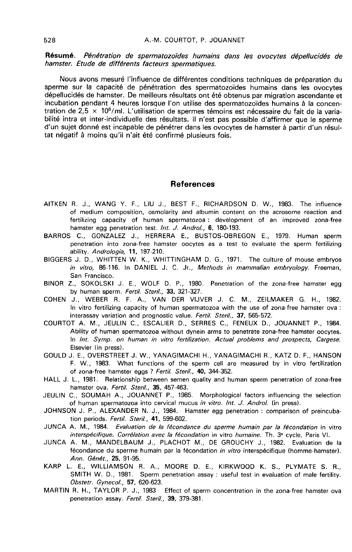Résumé. Pénétration de spermatozoïdes humains dans les ovocytes dépellucidés de hamster. Etude de différents facteurs spermatiques.

Nous avons mesuré l'influence de différentes conditions techniques de préparation du sperme sur la capacité de pénétration des spermatozoïdes humains dans les ovocytes dépellucidés de hamster. De meilleurs résultats ont été obtenus par migration ascendante et incubation pendant 4 heures lorsque l'on utilise des spermatozoïdes humains à la concentration de 2,5  $\times$  10<sup>6</sup>/ml. L'utilisation de spermes témoins est nécessaire du fait de la variabilité intra et inter-individuelle des résultats. Il n'est pas possible d'affirmer que le sperme d'un sujet donné est incapable de pénétrer dans les ovocytes de hamster à partir d'un résultat négatif à moins qu'il n'ait été confirmé plusieurs fois.

#### References

- AITKEN R. J., WANG Y. F., LIU J., BEST F., RICHARDSON D. W., 1983. The influence of medium composition, osmolarity and albumin content on the acrosome reaction and fertilizing capacity of human spermatozoa : development of an improved zona-free hamster egg penetration test. *Int. J. Androl.*, 6, 180-193.
- BARROS C., GONZALEZ J., HERRERA E., BUSTOS-OBREGON E., 1979. Human sperm penetration into zona-free hamster oocytes as a test to evaluate the sperm fertilizing ability. Andrologia, 11, 197-210.
- BIGGERS J. D., WHITTEN W. K., WHITTINGHAM D. G., 1971. The culture of mouse embryos in vitro, 86-116. In DANIEL J. C. Jr., Methods in mammalian embryology. Freeman, San Francisco.
- BINOR Z., SOKOLSKI J. E., WOLF D. P., 1980. Penetration of the zona-free hamster egg by human sperm. Fertil. Steril., 33, 321-327.
- COHEN J., WEBER R. F. A., VAN DER VIJVER J. C. M., ZEILMAKER G. H., 1982. In vitro fertilizing capacity of human spermatozoa with the use of zona-free hamster ova : interassay variation and prognostic value. Fertil. Steril., 37, 565-572.
- COURTOT A. M., JEULIN C., ESCALIER D., SERRES C., FENEUX D., JOUANNET P., 1984. Ability of human spermatozoa without dynein arms to penetrate zona-free hamster oocytes. In Int. Symp. on human in vitro fertilization. Actual problems and prospects, Cargese.<br>Elsevier (in press).
- GOULD J. E., OVERSTREET J. W., YANAGIMACHI H., YANAGIMACHI R., KATZ D. F., HANSON F. W., 1983. What functions of the sperm cell are measured by in vitro fertilization of zona-free hamster eggs ? Fertil. Steril., 40, 344-352.
- HALL J. L., 1981. Relationship between semen quality and human sperm penetration of zona-free hamster ova. Fertil. Steril., 35, 457-463.
- JEULIN C., SOUMAH A., JOUANNET P., 1985. Morphological factors influencing the selection of human spermatozoa into cervical mucus in vitro. Int. J. Androl. (in press).
- JOHNSON J. P., ALEXANDER N. J., 1984. Hamster egg penetration : comparison of preincubation periods. Fertil. Steril., 41, 599-602.
- JUNCA A. M., 1984. Evaluation de la fécondance du sperme humain par la fécondation in vitro interspécifique. Corrélation avec la fécondation in vitro humaine. Th. 3<sup>e</sup> cycle, Paris VI.
- JUNCA A. M., MANDELBAUM J., PLACHOT M., DE GROUCHY J., 1982. Evaluation de la fécondance du sperme humain par la fécondation in vitro interspécifique (homme-hamster). Ann. Génét., 25, 91-95.
- KARP L. E., WILLIAMSON R. A., MOORE D. E., KIRKWOOD K. S., PLYMATE S. R., SMITH W. D., 1981. Sperm penetration assay : useful test in evaluation of male fertility. Obstetr. Gynecol., 57, 620-623.
- MARTIN R. H., TAYLOR P. J., 1983 Effect of sperm concentration in the zona-free hamster ova penetration assay. Fertil. Steril., 39, 379-381.